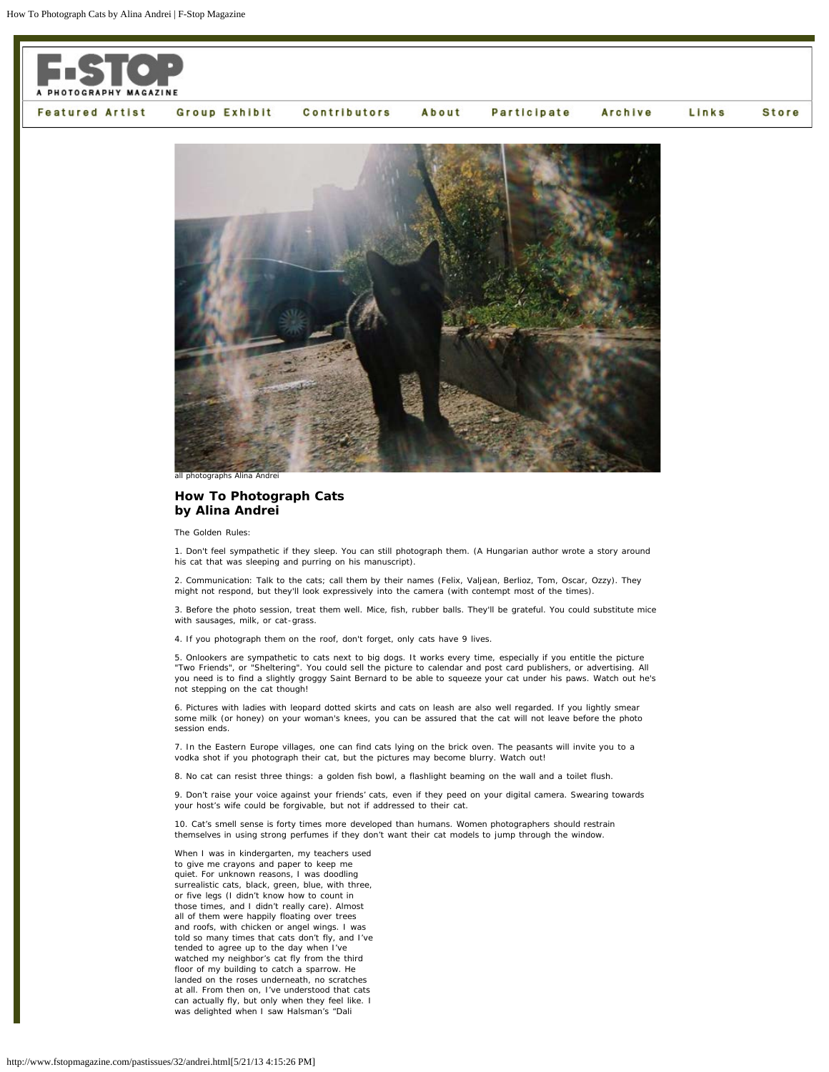

## **How To Photograph Cats by Alina Andrei**

The Golden Rules:

1. Don't feel sympathetic if they sleep. You can still photograph them. (A Hungarian author wrote a story around his cat that was sleeping and purring on his manuscript).

2. Communication: Talk to the cats; call them by their names (Felix, Valjean, Berlioz, Tom, Oscar, Ozzy). They might not respond, but they'll look expressively into the camera (with contempt most of the times).

3. Before the photo session, treat them well. Mice, fish, rubber balls. They'll be grateful. You could substitute mice with sausages, milk, or cat-grass.

4. If you photograph them on the roof, don't forget, only cats have 9 lives.

5. Onlookers are sympathetic to cats next to big dogs. It works every time, especially if you entitle the picture "Two Friends", or "Sheltering". You could sell the picture to calendar and post card publishers, or advertising. All you need is to find a slightly groggy Saint Bernard to be able to squeeze your cat under his paws. Watch out he's not stepping on the cat though!

6. Pictures with ladies with leopard dotted skirts and cats on leash are also well regarded. If you lightly smear some milk (or honey) on your woman's knees, you can be assured that the cat will not leave before the photo session ends.

7. In the Eastern Europe villages, one can find cats lying on the brick oven. The peasants will invite you to a vodka shot if you photograph their cat, but the pictures may become blurry. Watch out!

8. No cat can resist three things: a golden fish bowl, a flashlight beaming on the wall and a toilet flush.

9. Don't raise your voice against your friends' cats, even if they peed on your digital camera. Swearing towards your host's wife could be forgivable, but not if addressed to their cat.

10. Cat's smell sense is forty times more developed than humans. Women photographers should restrain themselves in using strong perfumes if they don't want their cat models to jump through the window.

When I was in kindergarten, my teachers used to give me crayons and paper to keep me quiet. For unknown reasons, I was doodling surrealistic cats, black, green, blue, with three, or five legs (I didn't know how to count in those times, and I didn't really care). Almost all of them were happily floating over trees and roofs, with chicken or angel wings. I was told so many times that cats don't fly, and I've tended to agree up to the day when I've watched my neighbor's cat fly from the third floor of my building to catch a sparrow. He landed on the roses underneath, no scratches at all. From then on, I've understood that cats can actually fly, but only when they feel like. I was delighted when I saw Halsman's "Dali